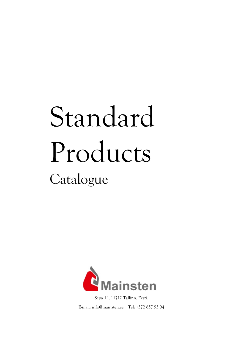# Standard Products Catalogue



Sepa 14, 11712 Tallinn, Eesti. E-mail: info@mainsten.ee | Tel: +372 657 95 04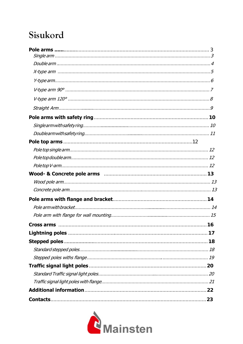#### Sisukord

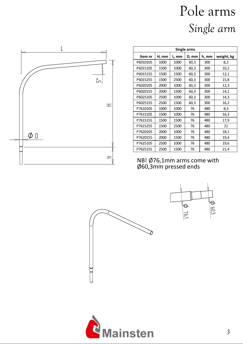# Pole arms *Single arm*

| Single arms |       |       |       |       |            |  |  |  |
|-------------|-------|-------|-------|-------|------------|--|--|--|
| Item nr     | H, mm | L, mm | D, mm | h, mm | weight, kg |  |  |  |
| P6010105    | 1000  | 1000  | 60,3  | 300   | 8,2        |  |  |  |
| P6015105    | 1500  | 1000  | 60,3  | 300   | 10,2       |  |  |  |
| P6015155    | 1500  | 1500  | 60,3  | 300   | 12,1       |  |  |  |
| P6015255    | 1500  | 2500  | 60,3  | 300   | 15,8       |  |  |  |
| P6020105    | 2000  | 1000  | 60,3  | 300   | 12,3       |  |  |  |
| P6020155    | 2000  | 1500  | 60,3  | 300   | 14,1       |  |  |  |
| P6025105    | 2500  | 1000  | 60,3  | 300   | 14,3       |  |  |  |
| P6025155    | 2500  | 1500  | 60,3  | 300   | 16,2       |  |  |  |
| P7610105    | 1000  | 1000  | 76    | 480   | 8,3        |  |  |  |
| P7615105    | 1500  | 1000  | 76    | 480   | 16,3       |  |  |  |
| P7615155    | 1500  | 1500  | 76    | 480   | 17,9       |  |  |  |
| P7615255    | 1500  | 2500  | 76    | 480   | 21         |  |  |  |
| P7620105    | 2000  | 1000  | 76    | 480   | 18,1       |  |  |  |
| P7620155    | 2000  | 1500  | 76    | 480   | 19,4       |  |  |  |
| P7625105    | 2500  | 1000  | 76    | 480   | 19,6       |  |  |  |
| P7625155    | 2500  | 1500  | 76    | 480   | 21,4       |  |  |  |

NB! Ø76,1mm arms come with Ø60,3mm pressed ends





 $\pm$ 

ᅩ

 $5^{\circ}$ 

L

 $\n *D*\n$ 

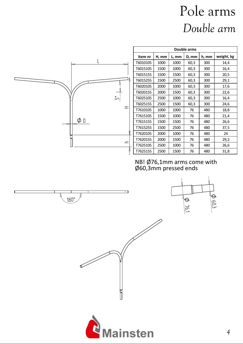### Pole arms *Double arm*









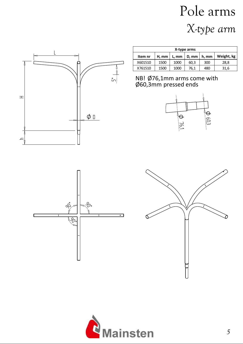# Pole arms *X-type arm*



| X-type arms |       |       |       |       |            |  |  |
|-------------|-------|-------|-------|-------|------------|--|--|
| Item nr     | H, mm | L, mm | D, mm | h, mm | Weight, kg |  |  |
| X601510     | 1500  | 1000  | 60.3  | 300   | 28,8       |  |  |
| X761510     | 1500  | 1000  | 76,1  | 480   | 31,6       |  |  |







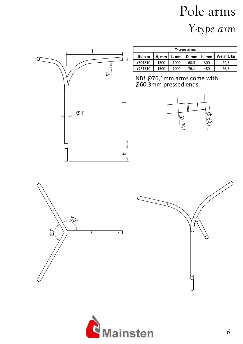# Pole arms *Y-type arm*



| Y-type arms |       |       |       |       |            |  |  |
|-------------|-------|-------|-------|-------|------------|--|--|
| Item nr     | H, mm | L, mm | D, mm | h, mm | Weight, kg |  |  |
| Y601510     | 1500  | 1000  | 60,3  | 300   | 22,6       |  |  |
| Y761510     | 1500  | 1000  | 76,1  | 480   | 26,5       |  |  |





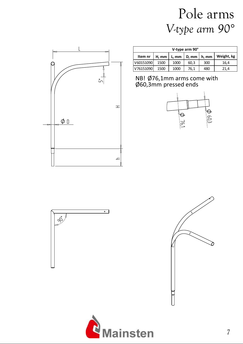#### Pole arms *V-type arm 90°*



| V-type arm 90° |                 |       |      |                     |            |  |
|----------------|-----------------|-------|------|---------------------|------------|--|
| Item nr        | $H.$ mm $\vert$ | L, mm |      | D, mm $\vert$ h, mm | Weight, kg |  |
| V60151090      | 1500            | 1000  | 60.3 | 300                 | 16,4       |  |
| V76151090      | 1500            | 1000  | 76,1 | 480                 | 21,4       |  |







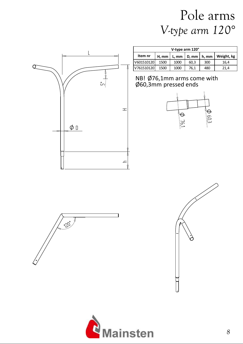#### Pole arms *V-type arm 120°*



120° A

| V-type arm 120° |       |         |       |       |            |  |  |
|-----------------|-------|---------|-------|-------|------------|--|--|
| Item nr         | H, mm | $L.$ mm | D, mm | h. mm | Weight, kg |  |  |
| V601510120      | 1500  | 1000    | 60.3  | 300   | 16,4       |  |  |
| V761510120      | 1500  | 1000    | 76.1  | 480   | 21.4       |  |  |





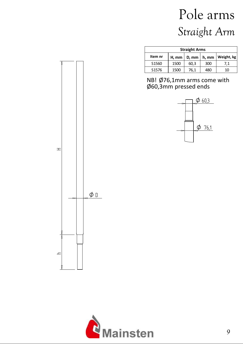# Pole arms *Straight Arm*

| <b>Straight Arms</b> |       |       |       |            |  |  |  |  |
|----------------------|-------|-------|-------|------------|--|--|--|--|
| Item nr              | H, mm | D, mm | h, mm | Weight, kg |  |  |  |  |
| S <sub>1560</sub>    | 1500  | 60,3  | 300   | 7.1        |  |  |  |  |
| S <sub>1576</sub>    | 1500  | 76,1  | 480   | 10         |  |  |  |  |





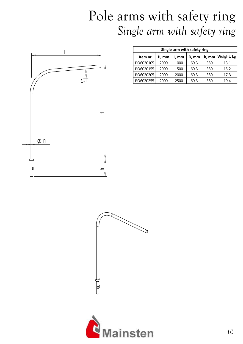#### Pole arms with safety ring *Single arm with safety ring*



| Single arm with safety ring |       |       |       |       |            |  |  |
|-----------------------------|-------|-------|-------|-------|------------|--|--|
| Item nr                     | H, mm | L, mm | D, mm | h, mm | Weight, kg |  |  |
| PO6020105                   | 2000  | 1000  | 60,3  | 380   | 13,1       |  |  |
| PO6020155                   | 2000  | 1500  | 60,3  | 380   | 15,2       |  |  |
| PO6020205                   | 2000  | 2000  | 60,3  | 380   | 17,3       |  |  |
| PO6020255                   | 2000  | 2500  | 60,3  | 380   | 19,4       |  |  |



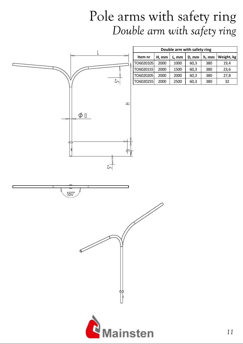#### Pole arms with safety ring *Double arm with safety ring*

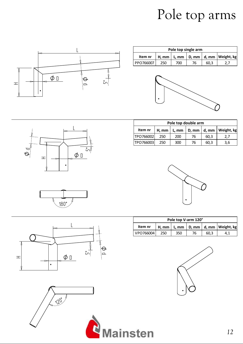# Pole top arms



| Pole top single arm |     |     |    |      |                                              |  |
|---------------------|-----|-----|----|------|----------------------------------------------|--|
| Item nr             |     |     |    |      | H, mm   L, mm   D, mm   d, mm   Weight, $kg$ |  |
| PPO766007           | 250 | 700 | 76 | 60.3 |                                              |  |





| Pole top double arm |       |              |       |            |  |  |
|---------------------|-------|--------------|-------|------------|--|--|
|                     | L, mm |              | d, mm | Weight, kg |  |  |
| TPO766002<br>250    | 200   | 76           | 60.3  | 2.7        |  |  |
| ITPO766003<br>250   | 300   | 76           | 60.3  | 3.6        |  |  |
|                     |       | $H, mm \mid$ |       | D, mm      |  |  |



| Pole top V-arm 120° |     |     |    |      |                                            |  |
|---------------------|-----|-----|----|------|--------------------------------------------|--|
| Item nr             |     |     |    |      | H, mm   L, mm   D, mm   d, mm   Weight, kg |  |
| VPO766004           | 250 | 350 | 76 | 60.3 |                                            |  |





180°

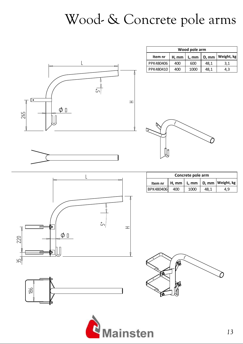# Wood- & Concrete pole arms



| Wood pole arm |       |       |       |            |  |  |  |  |
|---------------|-------|-------|-------|------------|--|--|--|--|
| Item nr       | H, mm | L, mm | D, mm | Weight, kg |  |  |  |  |
| PPK480406     | 400   | 600   | 48.1  | 3.1        |  |  |  |  |
| PPK480410     | 400   | 1000  | 48.1  | 4,3        |  |  |  |  |





186

| Concrete pole arm |     |      |      |                                              |  |
|-------------------|-----|------|------|----------------------------------------------|--|
|                   |     |      |      | Item nr   H, mm   L, mm   D, mm   Weight, kg |  |
| BPK480406         | 400 | 1000 | 48.1 | 4.9                                          |  |



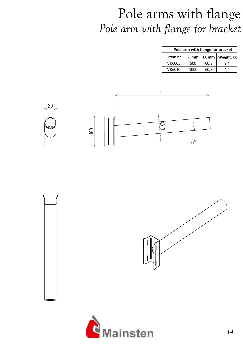### Pole arms with flange *Pole arm with flange for bracket*

| Pole arm with flange for bracket |       |       |            |  |  |  |
|----------------------------------|-------|-------|------------|--|--|--|
| Item nr                          | L, mm | D, mm | Weight, kg |  |  |  |
| VK6005                           | 500   | 60,3  | 2,4        |  |  |  |
| VK6010                           | 1000  | 60,3  | 4.4        |  |  |  |





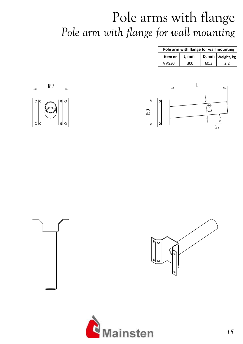# Pole arms with flange *Pole arm with flange for wall mounting*

|         | Pole arm with flange for wall mounting |      |                      |  |  |
|---------|----------------------------------------|------|----------------------|--|--|
| Item nr | L, mm                                  |      | D, mm   Weight, $kg$ |  |  |
| VVS30   | 300                                    | 60.3 |                      |  |  |









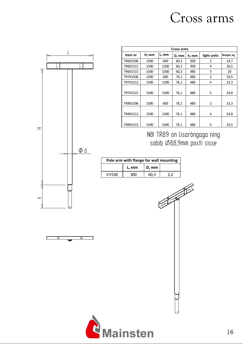#### Cross arms







| Cross arms |       |       |       |       |                |            |  |
|------------|-------|-------|-------|-------|----------------|------------|--|
| Item nr    | H, mm | L, mm | D, mm | h, mm | light units    | Weight, kg |  |
| TR601506   | 1500  | 600   | 60,3  | 300   | 2              | 14,7       |  |
| TR601512   | 1500  | 1200  | 60,3  | 300   | 4              | 18,5       |  |
| TR601515   | 1500  | 1500  | 60,3  | 480   | 5              | 20         |  |
| TR761506   | 1500  | 600   | 76,1  | 480   | $\mathfrak z$  | 19,5       |  |
| TR761512   | 1500  | 1200  | 76,1  | 480   | 4              | 23,3       |  |
|            |       |       |       |       |                |            |  |
| TR761515   | 1500  | 1500  | 76,1  | 480   | 5              | 24,8       |  |
| TR891506   | 1500  | 600   | 76,1  | 480   | $\overline{2}$ | 23,3       |  |
| TR891512   | 1500  | 1200  | 76,1  | 480   | 4              | 24,8       |  |
| TR891515   | 1500  | 1500  | 76,1  | 480   | 5              | 19,5       |  |

OOO°OO°D@**&@Jer@a**POO°HOHOHOHOHOO°HaHOHOHOH H-HOHOHO**@PAOP@HOOP**ADO°HOHOHQHaO°

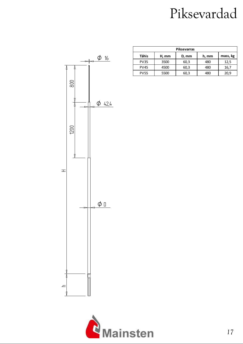# Piksevardad



| <b>Piksevarras</b> |       |       |       |          |  |  |
|--------------------|-------|-------|-------|----------|--|--|
| Tähis              | H, mm | D, mm | h, mm | mass, kg |  |  |
| <b>PV35</b>        | 3500  | 60,3  | 480   | 12,5     |  |  |
| <b>PV45</b>        | 4500  | 60,3  | 480   | 16,7     |  |  |
| <b>PV55</b>        | 5500  | 60,3  | 180 L | 20.9     |  |  |

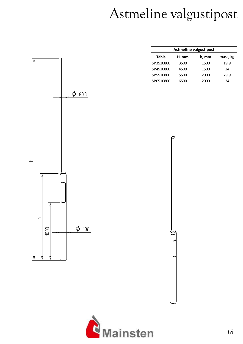# Astmeline valgustipost

| <b>Astmeline valgustipost</b> |       |       |          |  |  |  |  |
|-------------------------------|-------|-------|----------|--|--|--|--|
| <b>Tähis</b>                  | H, mm | h, mm | mass, kg |  |  |  |  |
| SP3510860                     | 3500  | 1500  | 19,9     |  |  |  |  |
| SP4510860                     | 4500  | 1500  | 24       |  |  |  |  |
| SP5510860                     | 5500  | 2000  | 29,9     |  |  |  |  |
| SP6510860                     | 6500  | 2000  | 34       |  |  |  |  |



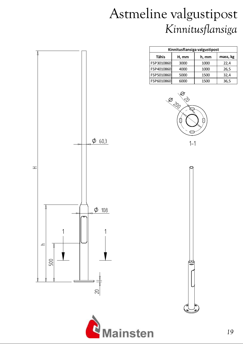## Astmeline valgustipost *Kinnitusflansiga*

| Kinnitusflansiga valgustipost |       |       |          |  |  |
|-------------------------------|-------|-------|----------|--|--|
| <b>Tähis</b>                  | H, mm | h, mm | mass, kg |  |  |
| FSP3010860                    | 3000  | 1000  | 22,4     |  |  |
| FSP4010860                    | 4000  | 1000  | 26,5     |  |  |
| FSP5010860                    | 5000  | 1500  | 32,4     |  |  |
| FSP6010860                    | റെറ   | 1500  | 36,5     |  |  |









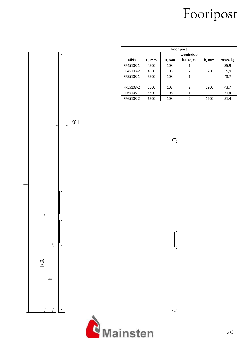# Fooripost



| Fooripost    |       |       |                |       |          |  |  |
|--------------|-------|-------|----------------|-------|----------|--|--|
|              |       |       | teenindus-     |       |          |  |  |
| <b>Tähis</b> | H, mm | D, mm | luuke, tk      | h, mm | mass, kg |  |  |
| FP45108-1    | 4500  | 108   | 1              |       | 35,9     |  |  |
| FP45108-2    | 4500  | 108   | 2              | 1200  | 35,9     |  |  |
| FP55108-1    | 5500  | 108   | 1              |       | 43,7     |  |  |
|              |       |       |                |       |          |  |  |
| FP55108-2    | 5500  | 108   | 2              | 1200  | 43,7     |  |  |
| FP65108-1    | 6500  | 108   | 1              |       | 51,4     |  |  |
| FP65108-2    | 6500  | 108   | $\overline{2}$ | 1200  | 51,4     |  |  |

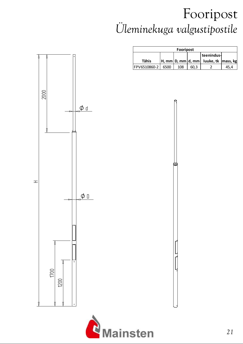## Fooripost *Üleminekuga valgustipostile*



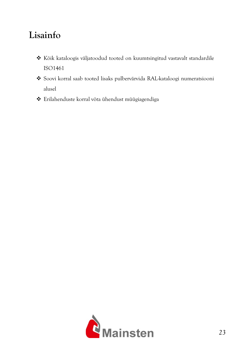#### **Lisainfo**

- Kõik kataloogis väljatoodud tooted on kuumtsingitud vastavalt standardile ISO1461
- Soovi korral saab tooted lisaks pulbervärvida RAL-kataloogi numeratsiooni alusel
- Erilahenduste korral võta ühendust müügiagendiga